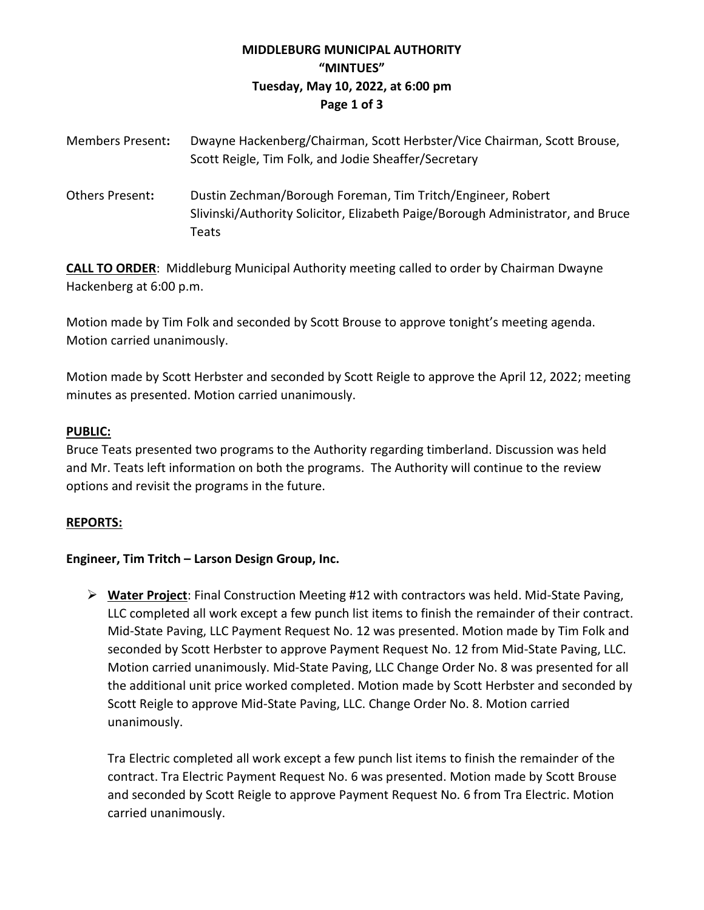# **MIDDLEBURG MUNICIPAL AUTHORITY "MINTUES" Tuesday, May 10, 2022, at 6:00 pm Page 1 of 3**

| <b>Members Present:</b> | Dwayne Hackenberg/Chairman, Scott Herbster/Vice Chairman, Scott Brouse,<br>Scott Reigle, Tim Folk, and Jodie Sheaffer/Secretary                         |
|-------------------------|---------------------------------------------------------------------------------------------------------------------------------------------------------|
| <b>Others Present:</b>  | Dustin Zechman/Borough Foreman, Tim Tritch/Engineer, Robert<br>Slivinski/Authority Solicitor, Elizabeth Paige/Borough Administrator, and Bruce<br>Teats |

**CALL TO ORDER**: Middleburg Municipal Authority meeting called to order by Chairman Dwayne Hackenberg at 6:00 p.m.

Motion made by Tim Folk and seconded by Scott Brouse to approve tonight's meeting agenda. Motion carried unanimously.

Motion made by Scott Herbster and seconded by Scott Reigle to approve the April 12, 2022; meeting minutes as presented. Motion carried unanimously.

### **PUBLIC:**

Bruce Teats presented two programs to the Authority regarding timberland. Discussion was held and Mr. Teats left information on both the programs. The Authority will continue to the review options and revisit the programs in the future.

## **REPORTS:**

## **Engineer, Tim Tritch – Larson Design Group, Inc.**

➢ **Water Project**: Final Construction Meeting #12 with contractors was held. Mid-State Paving, LLC completed all work except a few punch list items to finish the remainder of their contract. Mid-State Paving, LLC Payment Request No. 12 was presented. Motion made by Tim Folk and seconded by Scott Herbster to approve Payment Request No. 12 from Mid-State Paving, LLC. Motion carried unanimously. Mid-State Paving, LLC Change Order No. 8 was presented for all the additional unit price worked completed. Motion made by Scott Herbster and seconded by Scott Reigle to approve Mid-State Paving, LLC. Change Order No. 8. Motion carried unanimously.

Tra Electric completed all work except a few punch list items to finish the remainder of the contract. Tra Electric Payment Request No. 6 was presented. Motion made by Scott Brouse and seconded by Scott Reigle to approve Payment Request No. 6 from Tra Electric. Motion carried unanimously.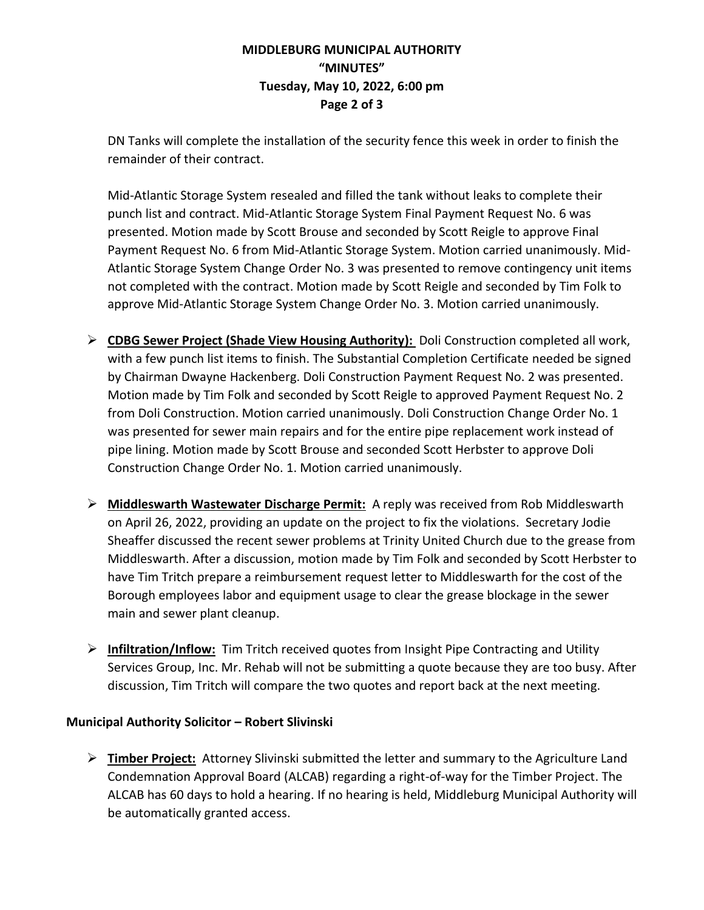## **MIDDLEBURG MUNICIPAL AUTHORITY "MINUTES" Tuesday, May 10, 2022, 6:00 pm Page 2 of 3**

DN Tanks will complete the installation of the security fence this week in order to finish the remainder of their contract.

Mid-Atlantic Storage System resealed and filled the tank without leaks to complete their punch list and contract. Mid-Atlantic Storage System Final Payment Request No. 6 was presented. Motion made by Scott Brouse and seconded by Scott Reigle to approve Final Payment Request No. 6 from Mid-Atlantic Storage System. Motion carried unanimously. Mid-Atlantic Storage System Change Order No. 3 was presented to remove contingency unit items not completed with the contract. Motion made by Scott Reigle and seconded by Tim Folk to approve Mid-Atlantic Storage System Change Order No. 3. Motion carried unanimously.

- ➢ **CDBG Sewer Project (Shade View Housing Authority):** Doli Construction completed all work, with a few punch list items to finish. The Substantial Completion Certificate needed be signed by Chairman Dwayne Hackenberg. Doli Construction Payment Request No. 2 was presented. Motion made by Tim Folk and seconded by Scott Reigle to approved Payment Request No. 2 from Doli Construction. Motion carried unanimously. Doli Construction Change Order No. 1 was presented for sewer main repairs and for the entire pipe replacement work instead of pipe lining. Motion made by Scott Brouse and seconded Scott Herbster to approve Doli Construction Change Order No. 1. Motion carried unanimously.
- ➢ **Middleswarth Wastewater Discharge Permit:** A reply was received from Rob Middleswarth on April 26, 2022, providing an update on the project to fix the violations. Secretary Jodie Sheaffer discussed the recent sewer problems at Trinity United Church due to the grease from Middleswarth. After a discussion, motion made by Tim Folk and seconded by Scott Herbster to have Tim Tritch prepare a reimbursement request letter to Middleswarth for the cost of the Borough employees labor and equipment usage to clear the grease blockage in the sewer main and sewer plant cleanup.
- ➢ **Infiltration/Inflow:** Tim Tritch received quotes from Insight Pipe Contracting and Utility Services Group, Inc. Mr. Rehab will not be submitting a quote because they are too busy. After discussion, Tim Tritch will compare the two quotes and report back at the next meeting.

## **Municipal Authority Solicitor – Robert Slivinski**

➢ **Timber Project:** Attorney Slivinski submitted the letter and summary to the Agriculture Land Condemnation Approval Board (ALCAB) regarding a right-of-way for the Timber Project. The ALCAB has 60 days to hold a hearing. If no hearing is held, Middleburg Municipal Authority will be automatically granted access.